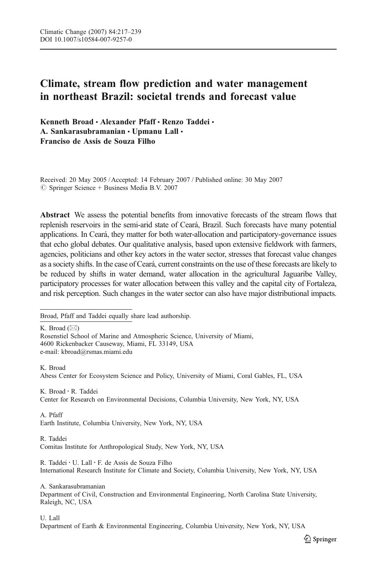# Climate, stream flow prediction and water management in northeast Brazil: societal trends and forecast value

Kenneth Broad · Alexander Pfaff · Renzo Taddei · A. Sankarasubramanian • Upmanu Lall • Franciso de Assis de Souza Filho

Received: 20 May 2005 / Accepted: 14 February 2007 / Published online: 30 May 2007  $\circledcirc$  Springer Science + Business Media B.V. 2007

Abstract We assess the potential benefits from innovative forecasts of the stream flows that replenish reservoirs in the semi-arid state of Ceará, Brazil. Such forecasts have many potential applications. In Ceará, they matter for both water-allocation and participatory-governance issues that echo global debates. Our qualitative analysis, based upon extensive fieldwork with farmers, agencies, politicians and other key actors in the water sector, stresses that forecast value changes as a society shifts. In the case of Ceará, current constraints on the use of these forecasts are likely to be reduced by shifts in water demand, water allocation in the agricultural Jaguaribe Valley, participatory processes for water allocation between this valley and the capital city of Fortaleza, and risk perception. Such changes in the water sector can also have major distributional impacts.

Broad, Pfaff and Taddei equally share lead authorship.

K. Broad  $(\boxtimes)$ 

Rosenstiel School of Marine and Atmospheric Science, University of Miami, 4600 Rickenbacker Causeway, Miami, FL 33149, USA

e-mail: kbroad@rsmas.miami.edu

K. Broad Abess Center for Ecosystem Science and Policy, University of Miami, Coral Gables, FL, USA

K. Broad : R. Taddei Center for Research on Environmental Decisions, Columbia University, New York, NY, USA

A. Pfaff Earth Institute, Columbia University, New York, NY, USA

R. Taddei Comitas Institute for Anthropological Study, New York, NY, USA

R. Taddei : U. Lall : F. de Assis de Souza Filho International Research Institute for Climate and Society, Columbia University, New York, NY, USA

A. Sankarasubramanian

Department of Civil, Construction and Environmental Engineering, North Carolina State University, Raleigh, NC, USA

U. Lall

Department of Earth & Environmental Engineering, Columbia University, New York, NY, USA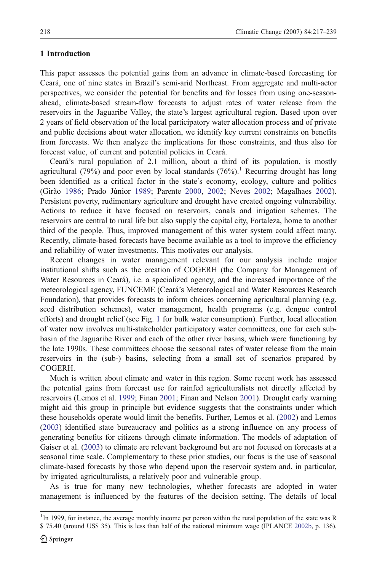#### <span id="page-1-0"></span>1 Introduction

This paper assesses the potential gains from an advance in climate-based forecasting for Ceará, one of nine states in Brazil's semi-arid Northeast. From aggregate and multi-actor perspectives, we consider the potential for benefits and for losses from using one-seasonahead, climate-based stream-flow forecasts to adjust rates of water release from the reservoirs in the Jaguaribe Valley, the state's largest agricultural region. Based upon over 2 years of field observation of the local participatory water allocation process and of private and public decisions about water allocation, we identify key current constraints on benefits from forecasts. We then analyze the implications for those constraints, and thus also for forecast value, of current and potential policies in Ceará.

Ceará's rural population of 2.1 million, about a third of its population, is mostly agricultural (79%) and poor even by local standards (76%).<sup>1</sup> Recurring drought has long been identified as a critical factor in the state's economy, ecology, culture and politics (Girão [1986;](#page-20-0) Prado Júnior [1989;](#page-22-0) Parente [2000,](#page-22-0) [2002](#page-22-0); Neves [2002;](#page-21-0) Magalhaes [2002](#page-21-0)). Persistent poverty, rudimentary agriculture and drought have created ongoing vulnerability. Actions to reduce it have focused on reservoirs, canals and irrigation schemes. The reservoirs are central to rural life but also supply the capital city, Fortaleza, home to another third of the people. Thus, improved management of this water system could affect many. Recently, climate-based forecasts have become available as a tool to improve the efficiency and reliability of water investments. This motivates our analysis.

Recent changes in water management relevant for our analysis include major institutional shifts such as the creation of COGERH (the Company for Management of Water Resources in Ceará), i.e. a specialized agency, and the increased importance of the meteorological agency, FUNCEME (Ceará's Meteorological and Water Resources Research Foundation), that provides forecasts to inform choices concerning agricultural planning (e.g. seed distribution schemes), water management, health programs (e.g. dengue control efforts) and drought relief (see Fig. [1](#page-2-0) for bulk water consumption). Further, local allocation of water now involves multi-stakeholder participatory water committees, one for each subbasin of the Jaguaribe River and each of the other river basins, which were functioning by the late 1990s. These committees choose the seasonal rates of water release from the main reservoirs in the (sub-) basins, selecting from a small set of scenarios prepared by COGERH.

Much is written about climate and water in this region. Some recent work has assessed the potential gains from forecast use for rainfed agriculturalists not directly affected by reservoirs (Lemos et al. [1999](#page-21-0); Finan [2001](#page-20-0); Finan and Nelson [2001\)](#page-20-0). Drought early warning might aid this group in principle but evidence suggests that the constraints under which these households operate would limit the benefits. Further, Lemos et al. ([2002\)](#page-21-0) and Lemos ([2003\)](#page-21-0) identified state bureaucracy and politics as a strong influence on any process of generating benefits for citizens through climate information. The models of adaptation of Gaiser et al. ([2003\)](#page-20-0) to climate are relevant background but are not focused on forecasts at a seasonal time scale. Complementary to these prior studies, our focus is the use of seasonal climate-based forecasts by those who depend upon the reservoir system and, in particular, by irrigated agriculturalists, a relatively poor and vulnerable group.

As is true for many new technologies, whether forecasts are adopted in water management is influenced by the features of the decision setting. The details of local

<sup>&</sup>lt;sup>1</sup>In 1999, for instance, the average monthly income per person within the rural population of the state was R \$ 75.40 (around US\$ 35). This is less than half of the national minimum wage (IPLANCE [2002b](#page-21-0), p. 136).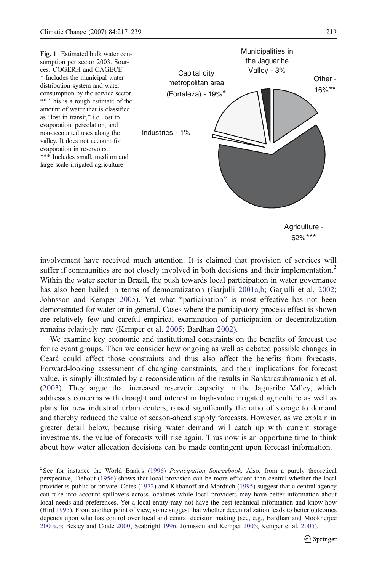<span id="page-2-0"></span>Fig. 1 Estimated bulk water consumption per sector 2003. Sources: COGERH and CAGECE. \* Includes the municipal water distribution system and water consumption by the service sector. \*\* This is a rough estimate of the amount of water that is classified as "lost in transit," i.e. lost to evaporation, percolation, and non-accounted uses along the valley. It does not account for evaporation in reservoirs. \*\*\* Includes small, medium and large scale irrigated agriculture



involvement have received much attention. It is claimed that provision of services will suffer if communities are not closely involved in both decisions and their implementation.<sup>2</sup> Within the water sector in Brazil, the push towards local participation in water governance has also been hailed in terms of democratization (Garjulli [2001a,b](#page-20-0); Garjulli et al. [2002](#page-20-0); Johnsson and Kemper [2005](#page-21-0)). Yet what "participation" is most effective has not been demonstrated for water or in general. Cases where the participatory-process effect is shown are relatively few and careful empirical examination of participation or decentralization remains relatively rare (Kemper et al. [2005;](#page-21-0) Bardhan [2002](#page-19-0)).

We examine key economic and institutional constraints on the benefits of forecast use for relevant groups. Then we consider how ongoing as well as debated possible changes in Ceará could affect those constraints and thus also affect the benefits from forecasts. Forward-looking assessment of changing constraints, and their implications for forecast value, is simply illustrated by a reconsideration of the results in Sankarasubramanian et al. ([2003\)](#page-22-0). They argue that increased reservoir capacity in the Jaguaribe Valley, which addresses concerns with drought and interest in high-value irrigated agriculture as well as plans for new industrial urban centers, raised significantly the ratio of storage to demand and thereby reduced the value of season-ahead supply forecasts. However, as we explain in greater detail below, because rising water demand will catch up with current storage investments, the value of forecasts will rise again. Thus now is an opportune time to think about how water allocation decisions can be made contingent upon forecast information.

62%\*\*\*

<sup>&</sup>lt;sup>2</sup>See for instance the World Bank's [\(1996\)](#page-22-0) Participation Sourcebook. Also, from a purely theoretical perspective, Tiebout ([1956\)](#page-22-0) shows that local provision can be more efficient than central whether the local provider is public or private. Oates ([1972\)](#page-22-0) and Klibanoff and Morduch [\(1995](#page-21-0)) suggest that a central agency can take into account spillovers across localities while local providers may have better information about local needs and preferences. Yet a local entity may not have the best technical information and know-how (Bird [1995](#page-19-0)). From another point of view, some suggest that whether decentralization leads to better outcomes depends upon who has control over local and central decision making (see, e.g., Bardhan and Mookherjee [2000a,b](#page-19-0); Besley and Coate [2000;](#page-19-0) Seabright [1996](#page-22-0); Johnsson and Kemper [2005;](#page-21-0) Kemper et al. [2005\)](#page-21-0).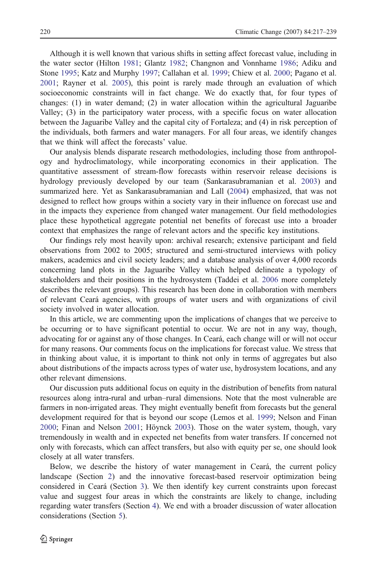Although it is well known that various shifts in setting affect forecast value, including in the water sector (Hilton [1981](#page-21-0); Glantz [1982](#page-20-0); Changnon and Vonnhame [1986](#page-20-0); Adiku and Stone [1995;](#page-19-0) Katz and Murphy [1997;](#page-21-0) Callahan et al. [1999](#page-19-0); Chiew et al. [2000](#page-20-0); Pagano et al. [2001;](#page-22-0) Rayner et al. [2005\)](#page-22-0), this point is rarely made through an evaluation of which socioeconomic constraints will in fact change. We do exactly that, for four types of changes: (1) in water demand; (2) in water allocation within the agricultural Jaguaribe Valley; (3) in the participatory water process, with a specific focus on water allocation between the Jaguaribe Valley and the capital city of Fortaleza; and (4) in risk perception of the individuals, both farmers and water managers. For all four areas, we identify changes that we think will affect the forecasts' value.

Our analysis blends disparate research methodologies, including those from anthropology and hydroclimatology, while incorporating economics in their application. The quantitative assessment of stream-flow forecasts within reservoir release decisions is hydrology previously developed by our team (Sankarasubramanian et al. [2003](#page-22-0)) and summarized here. Yet as Sankarasubramanian and Lall ([2004\)](#page-22-0) emphasized, that was not designed to reflect how groups within a society vary in their influence on forecast use and in the impacts they experience from changed water management. Our field methodologies place these hypothetical aggregate potential net benefits of forecast use into a broader context that emphasizes the range of relevant actors and the specific key institutions.

Our findings rely most heavily upon: archival research; extensive participant and field observations from 2002 to 2005; structured and semi-structured interviews with policy makers, academics and civil society leaders; and a database analysis of over 4,000 records concerning land plots in the Jaguaribe Valley which helped delineate a typology of stakeholders and their positions in the hydrosystem (Taddei et al. [2006](#page-22-0) more completely describes the relevant groups). This research has been done in collaboration with members of relevant Ceará agencies, with groups of water users and with organizations of civil society involved in water allocation.

In this article, we are commenting upon the implications of changes that we perceive to be occurring or to have significant potential to occur. We are not in any way, though, advocating for or against any of those changes. In Ceará, each change will or will not occur for many reasons. Our comments focus on the implications for forecast value. We stress that in thinking about value, it is important to think not only in terms of aggregates but also about distributions of the impacts across types of water use, hydrosystem locations, and any other relevant dimensions.

Our discussion puts additional focus on equity in the distribution of benefits from natural resources along intra-rural and urban–rural dimensions. Note that the most vulnerable are farmers in non-irrigated areas. They might eventually benefit from forecasts but the general development required for that is beyond our scope (Lemos et al. [1999;](#page-21-0) Nelson and Finan [2000;](#page-21-0) Finan and Nelson [2001;](#page-20-0) Höynck [2003\)](#page-21-0). Those on the water system, though, vary tremendously in wealth and in expected net benefits from water transfers. If concerned not only with forecasts, which can affect transfers, but also with equity per se, one should look closely at all water transfers.

Below, we describe the history of water management in Ceará, the current policy landscape (Section [2\)](#page-4-0) and the innovative forecast-based reservoir optimization being considered in Ceará (Section [3](#page-7-0)). We then identify key current constraints upon forecast value and suggest four areas in which the constraints are likely to change, including regarding water transfers (Section [4](#page-11-0)). We end with a broader discussion of water allocation considerations (Section [5\)](#page-18-0).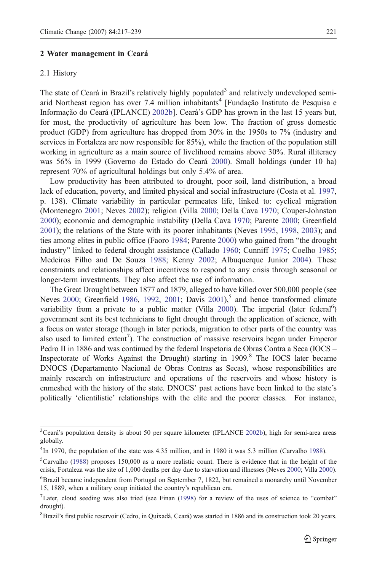#### <span id="page-4-0"></span>2.1 History

The state of Ceará in Brazil's relatively highly populated<sup>3</sup> and relatively undeveloped semiarid Northeast region has over 7.4 million inhabitants<sup>4</sup> [Fundação Instituto de Pesquisa e Informação do Ceará (IPLANCE) [2002b](#page-21-0)]. Ceará's GDP has grown in the last 15 years but, for most, the productivity of agriculture has been low. The fraction of gross domestic product (GDP) from agriculture has dropped from 30% in the 1950s to 7% (industry and services in Fortaleza are now responsible for 85%), while the fraction of the population still working in agriculture as a main source of livelihood remains above 30%. Rural illiteracy was 56% in 1999 (Governo do Estado do Ceará [2000](#page-20-0)). Small holdings (under 10 ha) represent 70% of agricultural holdings but only 5.4% of area.

Low productivity has been attributed to drought, poor soil, land distribution, a broad lack of education, poverty, and limited physical and social infrastructure (Costa et al. [1997](#page-20-0), p. 138). Climate variability in particular permeates life, linked to: cyclical migration (Montenegro [2001;](#page-21-0) Neves [2002\)](#page-21-0); religion (Villa [2000;](#page-22-0) Della Cava [1970;](#page-20-0) Couper-Johnston [2000\)](#page-20-0); economic and demographic instability (Della Cava [1970](#page-20-0); Parente [2000;](#page-22-0) Greenfield [2001\)](#page-20-0); the relations of the State with its poorer inhabitants (Neves [1995,](#page-21-0) [1998](#page-21-0), [2003](#page-22-0)); and ties among elites in public office (Faoro [1984](#page-20-0); Parente [2000\)](#page-22-0) who gained from "the drought industry" linked to federal drought assistance (Callado [1960](#page-19-0); Cunniff [1975](#page-20-0); Coelho [1985](#page-20-0); Medeiros Filho and De Souza [1988;](#page-21-0) Kenny [2002;](#page-21-0) Albuquerque Junior [2004\)](#page-19-0). These constraints and relationships affect incentives to respond to any crisis through seasonal or longer-term investments. They also affect the use of information.

The Great Drought between 1877 and 1879, alleged to have killed over 500,000 people (see Neves [2000;](#page-21-0) Greenfield [1986](#page-20-0), [1992](#page-20-0), [2001;](#page-20-0) Davis [2001](#page-20-0)),<sup>5</sup> and hence transformed climate variability from a private to a public matter (Villa [2000](#page-22-0)). The imperial (later federal<sup>6</sup>) government sent its best technicians to fight drought through the application of science, with a focus on water storage (though in later periods, migration to other parts of the country was also used to limited extent<sup>7</sup>). The construction of massive reservoirs began under Emperor Pedro II in 1886 and was continued by the federal Inspetoria de Obras Contra a Seca (IOCS – Inspectorate of Works Against the Drought) starting in  $1909$ .<sup>8</sup> The IOCS later became DNOCS (Departamento Nacional de Obras Contras as Secas), whose responsibilities are mainly research on infrastructure and operations of the reservoirs and whose history is enmeshed with the history of the state. DNOCS' past actions have been linked to the state's politically 'clientilistic' relationships with the elite and the poorer classes. For instance,

<sup>&</sup>lt;sup>3</sup>Ceará's population density is about 50 per square kilometer (IPLANCE [2002b\)](#page-21-0), high for semi-area areas globally.

<sup>&</sup>lt;sup>4</sup>In 1970, the population of the state was 4.35 million, and in 1980 it was 5.3 million (Carvalho [1988](#page-20-0)).

<sup>&</sup>lt;sup>5</sup>Carvalho ([1988\)](#page-20-0) proposes 150,000 as a more realistic count. There is evidence that in the height of the crisis, Fortaleza was the site of 1,000 deaths per day due to starvation and illnesses (Neves [2000;](#page-21-0) Villa [2000](#page-22-0)).

<sup>&</sup>lt;sup>6</sup>Brazil became independent from Portugal on September 7, 1822, but remained a monarchy until November 15, 1889, when a military coup initiated the country's republican era.

<sup>&</sup>lt;sup>7</sup>Later, cloud seeding was also tried (see Finan [\(1998\)](#page-20-0) for a review of the uses of science to "combat" drought).

<sup>&</sup>lt;sup>8</sup> Brazil's first public reservoir (Cedro, in Quixadá, Ceará) was started in 1886 and its construction took 20 years.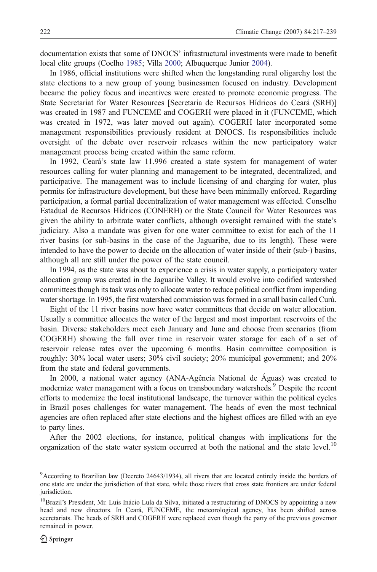documentation exists that some of DNOCS' infrastructural investments were made to benefit local elite groups (Coelho [1985;](#page-20-0) Villa [2000;](#page-22-0) Albuquerque Junior [2004](#page-19-0)).

In 1986, official institutions were shifted when the longstanding rural oligarchy lost the state elections to a new group of young businessmen focused on industry. Development became the policy focus and incentives were created to promote economic progress. The State Secretariat for Water Resources [Secretaria de Recursos Hídricos do Ceará (SRH)] was created in 1987 and FUNCEME and COGERH were placed in it (FUNCEME, which was created in 1972, was later moved out again). COGERH later incorporated some management responsibilities previously resident at DNOCS. Its responsibilities include oversight of the debate over reservoir releases within the new participatory water management process being created within the same reform.

In 1992, Ceará's state law 11.996 created a state system for management of water resources calling for water planning and management to be integrated, decentralized, and participative. The management was to include licensing of and charging for water, plus permits for infrastructure development, but these have been minimally enforced. Regarding participation, a formal partial decentralization of water management was effected. Conselho Estadual de Recursos Hídricos (CONERH) or the State Council for Water Resources was given the ability to arbitrate water conflicts, although oversight remained with the state's judiciary. Also a mandate was given for one water committee to exist for each of the 11 river basins (or sub-basins in the case of the Jaguaribe, due to its length). These were intended to have the power to decide on the allocation of water inside of their (sub-) basins, although all are still under the power of the state council.

In 1994, as the state was about to experience a crisis in water supply, a participatory water allocation group was created in the Jaguaribe Valley. It would evolve into codified watershed committees though its task was only to allocate water to reduce political conflict from impending water shortage. In 1995, the first watershed commission was formed in a small basin called Curú.

Eight of the 11 river basins now have water committees that decide on water allocation. Usually a committee allocates the water of the largest and most important reservoirs of the basin. Diverse stakeholders meet each January and June and choose from scenarios (from COGERH) showing the fall over time in reservoir water storage for each of a set of reservoir release rates over the upcoming 6 months. Basin committee composition is roughly: 30% local water users; 30% civil society; 20% municipal government; and 20% from the state and federal governments.

In 2000, a national water agency (ANA-Agência National de Águas) was created to modernize water management with a focus on transboundary watersheds.<sup>9</sup> Despite the recent efforts to modernize the local institutional landscape, the turnover within the political cycles in Brazil poses challenges for water management. The heads of even the most technical agencies are often replaced after state elections and the highest offices are filled with an eye to party lines.

After the 2002 elections, for instance, political changes with implications for the organization of the state water system occurred at both the national and the state level.<sup>10</sup>

<sup>&</sup>lt;sup>9</sup> According to Brazilian law (Decreto 24643/1934), all rivers that are located entirely inside the borders of one state are under the jurisdiction of that state, while those rivers that cross state frontiers are under federal jurisdiction.

<sup>&</sup>lt;sup>10</sup>Brazil's President, Mr. Luis Inácio Lula da Silva, initiated a restructuring of DNOCS by appointing a new head and new directors. In Ceará, FUNCEME, the meteorological agency, has been shifted across secretariats. The heads of SRH and COGERH were replaced even though the party of the previous governor remained in power.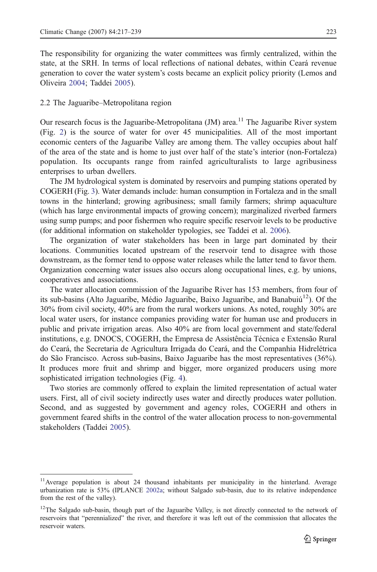The responsibility for organizing the water committees was firmly centralized, within the state, at the SRH. In terms of local reflections of national debates, within Ceará revenue generation to cover the water system's costs became an explicit policy priority (Lemos and Oliveira [2004](#page-21-0); Taddei [2005\)](#page-22-0).

#### 2.2 The Jaguaribe–Metropolitana region

Our research focus is the Jaguaribe-Metropolitana  $(JM)$  area.<sup>11</sup> The Jaguaribe River system (Fig. [2](#page-7-0)) is the source of water for over 45 municipalities. All of the most important economic centers of the Jaguaribe Valley are among them. The valley occupies about half of the area of the state and is home to just over half of the state's interior (non-Fortaleza) population. Its occupants range from rainfed agriculturalists to large agribusiness enterprises to urban dwellers.

The JM hydrological system is dominated by reservoirs and pumping stations operated by COGERH (Fig. [3\)](#page-8-0). Water demands include: human consumption in Fortaleza and in the small towns in the hinterland; growing agribusiness; small family farmers; shrimp aquaculture (which has large environmental impacts of growing concern); marginalized riverbed farmers using sump pumps; and poor fishermen who require specific reservoir levels to be productive (for additional information on stakeholder typologies, see Taddei et al. [2006\)](#page-22-0).

The organization of water stakeholders has been in large part dominated by their locations. Communities located upstream of the reservoir tend to disagree with those downstream, as the former tend to oppose water releases while the latter tend to favor them. Organization concerning water issues also occurs along occupational lines, e.g. by unions, cooperatives and associations.

The water allocation commission of the Jaguaribe River has 153 members, from four of its sub-basins (Alto Jaguaribe, Médio Jaguaribe, Baixo Jaguaribe, and Banabuiú<sup>12</sup>). Of the 30% from civil society, 40% are from the rural workers unions. As noted, roughly 30% are local water users, for instance companies providing water for human use and producers in public and private irrigation areas. Also 40% are from local government and state/federal institutions, e.g. DNOCS, COGERH, the Empresa de Assistência Técnica e Extensão Rural do Ceará, the Secretaria de Agricultura Irrigada do Ceará, and the Companhia Hidrelétrica do São Francisco. Across sub-basins, Baixo Jaguaribe has the most representatives (36%). It produces more fruit and shrimp and bigger, more organized producers using more sophisticated irrigation technologies (Fig. [4\)](#page-9-0).

Two stories are commonly offered to explain the limited representation of actual water users. First, all of civil society indirectly uses water and directly produces water pollution. Second, and as suggested by government and agency roles, COGERH and others in government feared shifts in the control of the water allocation process to non-governmental stakeholders (Taddei [2005](#page-22-0)).

<sup>&</sup>lt;sup>11</sup> Average population is about 24 thousand inhabitants per municipality in the hinterland. Average urbanization rate is 53% (IPLANCE [2002a;](#page-21-0) without Salgado sub-basin, due to its relative independence from the rest of the valley).

<sup>&</sup>lt;sup>12</sup>The Salgado sub-basin, though part of the Jaguaribe Valley, is not directly connected to the network of reservoirs that "perennialized" the river, and therefore it was left out of the commission that allocates the reservoir waters.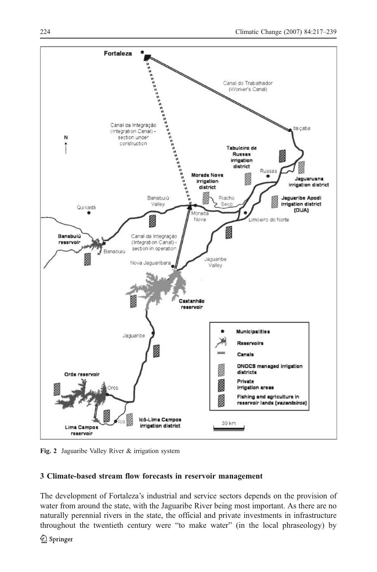<span id="page-7-0"></span>

Fig. 2 Jaguaribe Valley River & irrigation system

### 3 Climate-based stream flow forecasts in reservoir management

The development of Fortaleza's industrial and service sectors depends on the provision of water from around the state, with the Jaguaribe River being most important. As there are no naturally perennial rivers in the state, the official and private investments in infrastructure throughout the twentieth century were "to make water" (in the local phraseology) by

 $\mathcal{Q}$  Springer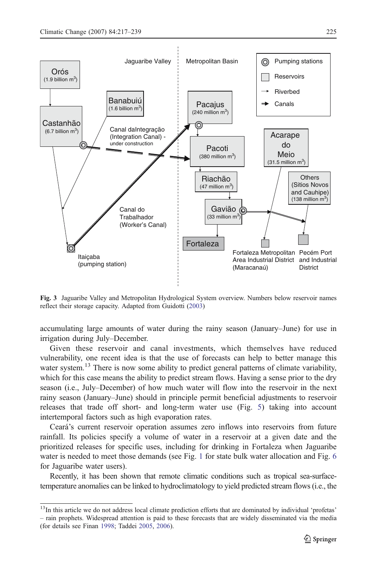<span id="page-8-0"></span>

Fig. 3 Jaguaribe Valley and Metropolitan Hydrological System overview. Numbers below reservoir names reflect their storage capacity. Adapted from Guidotti [\(2003](#page-20-0))

accumulating large amounts of water during the rainy season (January–June) for use in irrigation during July–December.

Given these reservoir and canal investments, which themselves have reduced vulnerability, one recent idea is that the use of forecasts can help to better manage this water system.<sup>13</sup> There is now some ability to predict general patterns of climate variability, which for this case means the ability to predict stream flows. Having a sense prior to the dry season (i.e., July–December) of how much water will flow into the reservoir in the next rainy season (January–June) should in principle permit beneficial adjustments to reservoir releases that trade off short- and long-term water use (Fig. [5](#page-10-0)) taking into account intertemporal factors such as high evaporation rates.

Ceará's current reservoir operation assumes zero inflows into reservoirs from future rainfall. Its policies specify a volume of water in a reservoir at a given date and the prioritized releases for specific uses, including for drinking in Fortaleza when Jaguaribe water is needed to meet those demands (see Fig. [1](#page-2-0) for state bulk water allocation and Fig. [6](#page-10-0) for Jaguaribe water users).

Recently, it has been shown that remote climatic conditions such as tropical sea-surfacetemperature anomalies can be linked to hydroclimatology to yield predicted stream flows (i.e., the

<sup>&</sup>lt;sup>13</sup>In this article we do not address local climate prediction efforts that are dominated by individual 'profetas' – rain prophets. Widespread attention is paid to these forecasts that are widely disseminated via the media (for details see Finan [1998](#page-20-0); Taddei [2005,](#page-22-0) [2006](#page-22-0)).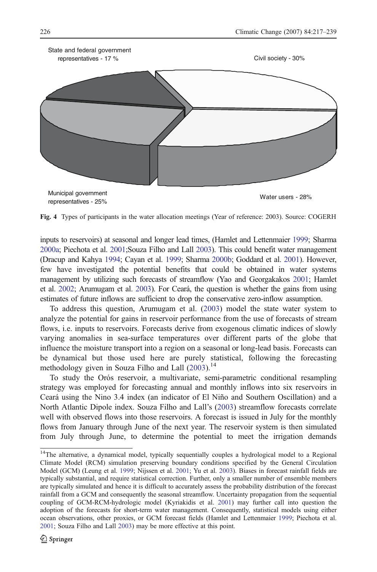<span id="page-9-0"></span>

Fig. 4 Types of participants in the water allocation meetings (Year of reference: 2003). Source: COGERH

inputs to reservoirs) at seasonal and longer lead times, (Hamlet and Lettenmaier [1999](#page-21-0); Sharma [2000a;](#page-22-0) Piechota et al. [2001](#page-22-0);Souza Filho and Lall [2003\)](#page-22-0). This could benefit water management (Dracup and Kahya [1994](#page-20-0); Cayan et al. [1999](#page-20-0); Sharma [2000b;](#page-22-0) Goddard et al. [2001](#page-20-0)). However, few have investigated the potential benefits that could be obtained in water systems management by utilizing such forecasts of streamflow (Yao and Georgakakos [2001;](#page-22-0) Hamlet et al. [2002](#page-21-0); Arumugam et al. [2003](#page-19-0)). For Ceará, the question is whether the gains from using estimates of future inflows are sufficient to drop the conservative zero-inflow assumption.

To address this question, Arumugam et al. [\(2003](#page-19-0)) model the state water system to analyze the potential for gains in reservoir performance from the use of forecasts of stream flows, i.e. inputs to reservoirs. Forecasts derive from exogenous climatic indices of slowly varying anomalies in sea-surface temperatures over different parts of the globe that influence the moisture transport into a region on a seasonal or long-lead basis. Forecasts can be dynamical but those used here are purely statistical, following the forecasting methodology given in Souza Filho and Lall ([2003\)](#page-22-0).<sup>14</sup>

To study the Orós reservoir, a multivariate, semi-parametric conditional resampling strategy was employed for forecasting annual and monthly inflows into six reservoirs in Ceará using the Nino 3.4 index (an indicator of El Niño and Southern Oscillation) and a North Atlantic Dipole index. Souza Filho and Lall's [\(2003](#page-22-0)) streamflow forecasts correlate well with observed flows into those reservoirs. A forecast is issued in July for the monthly flows from January through June of the next year. The reservoir system is then simulated from July through June, to determine the potential to meet the irrigation demands

<sup>&</sup>lt;sup>14</sup>The alternative, a dynamical model, typically sequentially couples a hydrological model to a Regional Climate Model (RCM) simulation preserving boundary conditions specified by the General Circulation Model (GCM) (Leung et al. [1999;](#page-21-0) Nijssen et al. [2001;](#page-22-0) Yu et al. [2003\)](#page-22-0). Biases in forecast rainfall fields are typically substantial, and require statistical correction. Further, only a smaller number of ensemble members are typically simulated and hence it is difficult to accurately assess the probability distribution of the forecast rainfall from a GCM and consequently the seasonal streamflow. Uncertainty propagation from the sequential coupling of GCM-RCM-hydrologic model (Kyriakidis et al. [2001](#page-21-0)) may further call into question the adoption of the forecasts for short-term water management. Consequently, statistical models using either ocean observations, other proxies, or GCM forecast fields (Hamlet and Lettenmaier [1999;](#page-21-0) Piechota et al. [2001;](#page-22-0) Souza Filho and Lall [2003\)](#page-22-0) may be more effective at this point.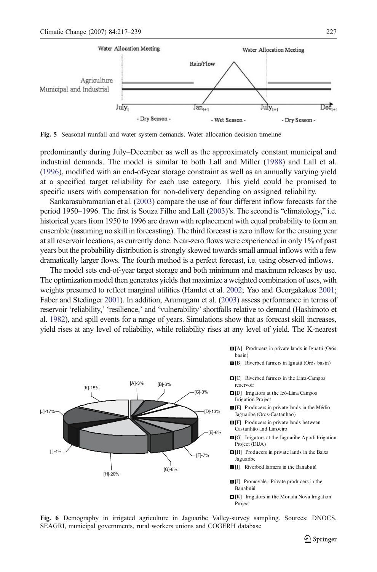<span id="page-10-0"></span>

Fig. 5 Seasonal rainfall and water system demands. Water allocation decision timeline

predominantly during July–December as well as the approximately constant municipal and industrial demands. The model is similar to both Lall and Miller [\(1988](#page-21-0)) and Lall et al. ([1996\)](#page-21-0), modified with an end-of-year storage constraint as well as an annually varying yield at a specified target reliability for each use category. This yield could be promised to specific users with compensation for non-delivery depending on assigned reliability.

Sankarasubramanian et al. ([2003](#page-22-0)) compare the use of four different inflow forecasts for the period 1950–1996. The first is Souza Filho and Lall [\(2003\)](#page-22-0)'s. The second is "climatology," i.e. historical years from 1950 to 1996 are drawn with replacement with equal probability to form an ensemble (assuming no skill in forecasting). The third forecast is zero inflow for the ensuing year at all reservoir locations, as currently done. Near-zero flows were experienced in only 1% of past years but the probability distribution is strongly skewed towards small annual inflows with a few dramatically larger flows. The fourth method is a perfect forecast, i.e. using observed inflows.

The model sets end-of-year target storage and both minimum and maximum releases by use. The optimization model then generates yields that maximize a weighted combination of uses, with weights presumed to reflect marginal utilities (Hamlet et al. [2002](#page-21-0); Yao and Georgakakos [2001](#page-22-0); Faber and Stedinger [2001\)](#page-20-0). In addition, Arumugam et al. [\(2003](#page-19-0)) assess performance in terms of reservoir 'reliability,' 'resilience,' and 'vulnerability' shortfalls relative to demand (Hashimoto et al. [1982\)](#page-21-0), and spill events for a range of years. Simulations show that as forecast skill increases, yield rises at any level of reliability, while reliability rises at any level of yield. The K-nearest



- [A] Producers in private lands in Iguatú (Orós basin)
- [B] Riverbed farmers in Iguatú (Orós basin)
- [C] Riverbed farmers in the Lima-Campos reservoir
- [D] Irrigators at the Icó-Lima Campos Irrigation Project
- **[E]** Producers in private lands in the Médio Jaguaribe (Oros-Castanhao)
- **[F]** Producers in private lands between Castanhão and Limoeiro
- [G] Irrigators at the Jaguaribe Apodi Irrigation Project (DIJA)
- [H] Producers in private lands in the Baixo Jaguaribe
- $\blacksquare$  [I] Riverbed farmers in the Banabuiú
- [J] Promovale Private producers in the Banabuiú
- [K] Irrigators in the Morada Nova Irrigation Project

Fig. 6 Demography in irrigated agriculture in Jaguaribe Valley-survey sampling. Sources: DNOCS, SEAGRI, municipal governments, rural workers unions and COGERH database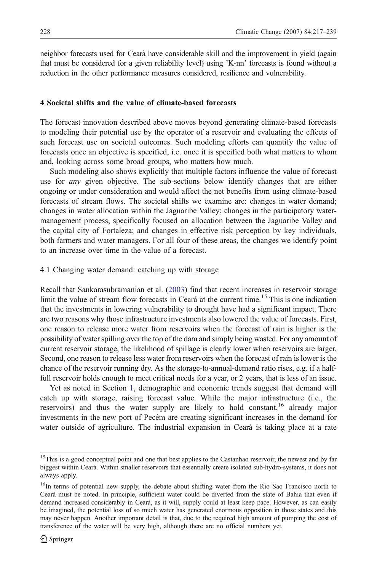<span id="page-11-0"></span>neighbor forecasts used for Cearà have considerable skill and the improvement in yield (again that must be considered for a given reliability level) using 'K-nn' forecasts is found without a reduction in the other performance measures considered, resilience and vulnerability.

#### 4 Societal shifts and the value of climate-based forecasts

The forecast innovation described above moves beyond generating climate-based forecasts to modeling their potential use by the operator of a reservoir and evaluating the effects of such forecast use on societal outcomes. Such modeling efforts can quantify the value of forecasts once an objective is specified, i.e. once it is specified both what matters to whom and, looking across some broad groups, who matters how much.

Such modeling also shows explicitly that multiple factors influence the value of forecast use for *any* given objective. The sub-sections below identify changes that are either ongoing or under consideration and would affect the net benefits from using climate-based forecasts of stream flows. The societal shifts we examine are: changes in water demand; changes in water allocation within the Jaguaribe Valley; changes in the participatory watermanagement process, specifically focused on allocation between the Jaguaribe Valley and the capital city of Fortaleza; and changes in effective risk perception by key individuals, both farmers and water managers. For all four of these areas, the changes we identify point to an increase over time in the value of a forecast.

4.1 Changing water demand: catching up with storage

Recall that Sankarasubramanian et al. [\(2003](#page-22-0)) find that recent increases in reservoir storage limit the value of stream flow forecasts in Ceará at the current time.<sup>15</sup> This is one indication that the investments in lowering vulnerability to drought have had a significant impact. There are two reasons why those infrastructure investments also lowered the value of forecasts. First, one reason to release more water from reservoirs when the forecast of rain is higher is the possibility of water spilling over the top of the dam and simply being wasted. For any amount of current reservoir storage, the likelihood of spillage is clearly lower when reservoirs are larger. Second, one reason to release less water from reservoirs when the forecast of rain is lower is the chance of the reservoir running dry. As the storage-to-annual-demand ratio rises, e.g. if a halffull reservoir holds enough to meet critical needs for a year, or 2 years, that is less of an issue.

Yet as noted in Section [1,](#page-1-0) demographic and economic trends suggest that demand will catch up with storage, raising forecast value. While the major infrastructure (i.e., the reservoirs) and thus the water supply are likely to hold constant,<sup>16</sup> already major investments in the new port of Pecém are creating significant increases in the demand for water outside of agriculture. The industrial expansion in Ceará is taking place at a rate

<sup>&</sup>lt;sup>15</sup>This is a good conceptual point and one that best applies to the Castanhao reservoir, the newest and by far biggest within Ceará. Within smaller reservoirs that essentially create isolated sub-hydro-systems, it does not always apply.

<sup>&</sup>lt;sup>16</sup>In terms of potential new supply, the debate about shifting water from the Rio Sao Francisco north to Ceará must be noted. In principle, sufficient water could be diverted from the state of Bahia that even if demand increased considerably in Ceará, as it will, supply could at least keep pace. However, as can easily be imagined, the potential loss of so much water has generated enormous opposition in those states and this may never happen. Another important detail is that, due to the required high amount of pumping the cost of transference of the water will be very high, although there are no official numbers yet.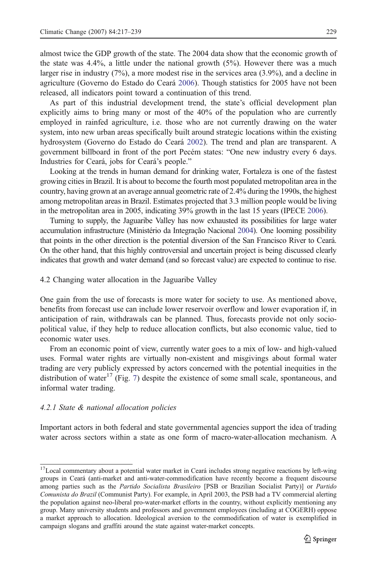almost twice the GDP growth of the state. The 2004 data show that the economic growth of the state was  $4.4\%$ , a little under the national growth  $(5\%)$ . However there was a much larger rise in industry (7%), a more modest rise in the services area (3.9%), and a decline in agriculture (Governo do Estado do Ceará [2006\)](#page-20-0). Though statistics for 2005 have not been released, all indicators point toward a continuation of this trend.

As part of this industrial development trend, the state's official development plan explicitly aims to bring many or most of the 40% of the population who are currently employed in rainfed agriculture, i.e. those who are not currently drawing on the water system, into new urban areas specifically built around strategic locations within the existing hydrosystem (Governo do Estado do Ceará [2002\)](#page-20-0). The trend and plan are transparent. A government billboard in front of the port Pecém states: "One new industry every 6 days. Industries for Ceará, jobs for Ceará's people."

Looking at the trends in human demand for drinking water, Fortaleza is one of the fastest growing cities in Brazil. It is about to become the fourth most populated metropolitan area in the country, having grown at an average annual geometric rate of 2.4% during the 1990s, the highest among metropolitan areas in Brazil. Estimates projected that 3.3 million people would be living in the metropolitan area in 2005, indicating 39% growth in the last 15 years (IPECE [2006](#page-21-0)).

Turning to supply, the Jaguaribe Valley has now exhausted its possibilities for large water accumulation infrastructure (Ministério da Integração Nacional [2004](#page-21-0)). One looming possibility that points in the other direction is the potential diversion of the San Francisco River to Ceará. On the other hand, that this highly controversial and uncertain project is being discussed clearly indicates that growth and water demand (and so forecast value) are expected to continue to rise.

4.2 Changing water allocation in the Jaguaribe Valley

One gain from the use of forecasts is more water for society to use. As mentioned above, benefits from forecast use can include lower reservoir overflow and lower evaporation if, in anticipation of rain, withdrawals can be planned. Thus, forecasts provide not only sociopolitical value, if they help to reduce allocation conflicts, but also economic value, tied to economic water uses.

From an economic point of view, currently water goes to a mix of low- and high-valued uses. Formal water rights are virtually non-existent and misgivings about formal water trading are very publicly expressed by actors concerned with the potential inequities in the distribution of water<sup>17</sup> (Fig. [7\)](#page-13-0) despite the existence of some small scale, spontaneous, and informal water trading.

#### 4.2.1 State & national allocation policies

Important actors in both federal and state governmental agencies support the idea of trading water across sectors within a state as one form of macro-water-allocation mechanism. A

<sup>&</sup>lt;sup>17</sup>Local commentary about a potential water market in Ceará includes strong negative reactions by left-wing groups in Ceará (anti-market and anti-water-commodification have recently become a frequent discourse among parties such as the Partido Socialista Brasileiro [PSB or Brazilian Socialist Party)] or Partido Comunista do Brazil (Communist Party). For example, in April 2003, the PSB had a TV commercial alerting the population against neo-liberal pro-water-market efforts in the country, without explicitly mentioning any group. Many university students and professors and government employees (including at COGERH) oppose a market approach to allocation. Ideological aversion to the commodification of water is exemplified in campaign slogans and graffiti around the state against water-market concepts.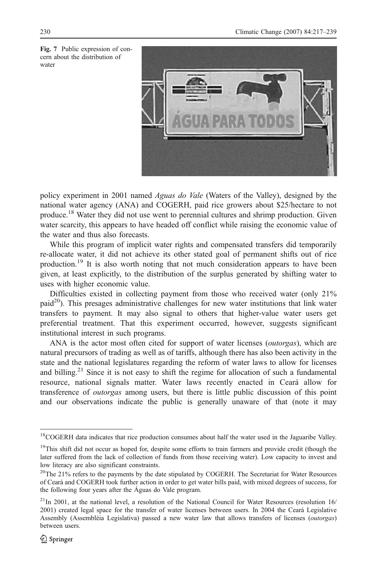<span id="page-13-0"></span>



policy experiment in 2001 named *Aguas do Vale* (Waters of the Valley), designed by the national water agency (ANA) and COGERH, paid rice growers about \$25/hectare to not produce.<sup>18</sup> Water they did not use went to perennial cultures and shrimp production. Given water scarcity, this appears to have headed off conflict while raising the economic value of the water and thus also forecasts.

While this program of implicit water rights and compensated transfers did temporarily re-allocate water, it did not achieve its other stated goal of permanent shifts out of rice production.<sup>19</sup> It is also worth noting that not much consideration appears to have been given, at least explicitly, to the distribution of the surplus generated by shifting water to uses with higher economic value.

Difficulties existed in collecting payment from those who received water (only 21%  $paid^{20}$ ). This presages administrative challenges for new water institutions that link water transfers to payment. It may also signal to others that higher-value water users get preferential treatment. That this experiment occurred, however, suggests significant institutional interest in such programs.

ANA is the actor most often cited for support of water licenses *(outorgas)*, which are natural precursors of trading as well as of tariffs, although there has also been activity in the state and the national legislatures regarding the reform of water laws to allow for licenses and billing.<sup>21</sup> Since it is not easy to shift the regime for allocation of such a fundamental resource, national signals matter. Water laws recently enacted in Ceará allow for transference of outorgas among users, but there is little public discussion of this point and our observations indicate the public is generally unaware of that (note it may

<sup>18</sup>COGERH data indicates that rice production consumes about half the water used in the Jaguaribe Valley.

<sup>&</sup>lt;sup>19</sup>This shift did not occur as hoped for, despite some efforts to train farmers and provide credit (though the later suffered from the lack of collection of funds from those receiving water). Low capacity to invest and low literacy are also significant constraints.

 $20$ The 21% refers to the payments by the date stipulated by COGERH. The Secretariat for Water Resources of Ceará and COGERH took further action in order to get water bills paid, with mixed degrees of success, for the following four years after the Águas do Vale program.

 $^{21}$ In 2001, at the national level, a resolution of the National Council for Water Resources (resolution 16/ 2001) created legal space for the transfer of water licenses between users. In 2004 the Ceará Legislative Assembly (Assembléia Legislativa) passed a new water law that allows transfers of licenses (outorgas) between users.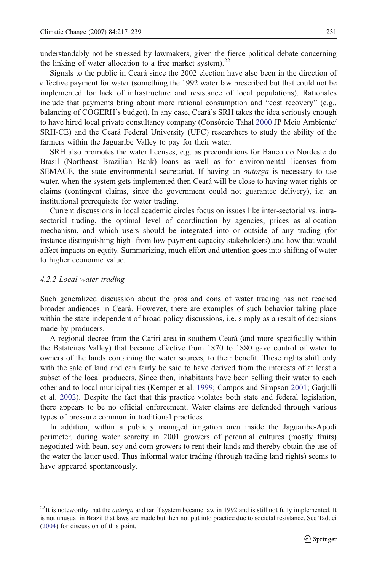understandably not be stressed by lawmakers, given the fierce political debate concerning the linking of water allocation to a free market system).<sup>22</sup>

Signals to the public in Ceará since the 2002 election have also been in the direction of effective payment for water (something the 1992 water law prescribed but that could not be implemented for lack of infrastructure and resistance of local populations). Rationales include that payments bring about more rational consumption and "cost recovery" (e.g., balancing of COGERH's budget). In any case, Ceará's SRH takes the idea seriously enough to have hired local private consultancy company (Consórcio Tahal [2000](#page-20-0) JP Meio Ambiente/ SRH-CE) and the Ceará Federal University (UFC) researchers to study the ability of the farmers within the Jaguaribe Valley to pay for their water.

SRH also promotes the water licenses, e.g. as preconditions for Banco do Nordeste do Brasil (Northeast Brazilian Bank) loans as well as for environmental licenses from SEMACE, the state environmental secretariat. If having an *outorga* is necessary to use water, when the system gets implemented then Ceará will be close to having water rights or claims (contingent claims, since the government could not guarantee delivery), i.e. an institutional prerequisite for water trading.

Current discussions in local academic circles focus on issues like inter-sectorial vs. intrasectorial trading, the optimal level of coordination by agencies, prices as allocation mechanism, and which users should be integrated into or outside of any trading (for instance distinguishing high- from low-payment-capacity stakeholders) and how that would affect impacts on equity. Summarizing, much effort and attention goes into shifting of water to higher economic value.

#### 4.2.2 Local water trading

Such generalized discussion about the pros and cons of water trading has not reached broader audiences in Ceará. However, there are examples of such behavior taking place within the state independent of broad policy discussions, i.e. simply as a result of decisions made by producers.

A regional decree from the Cariri area in southern Ceará (and more specifically within the Batateiras Valley) that became effective from 1870 to 1880 gave control of water to owners of the lands containing the water sources, to their benefit. These rights shift only with the sale of land and can fairly be said to have derived from the interests of at least a subset of the local producers. Since then, inhabitants have been selling their water to each other and to local municipalities (Kemper et al. [1999](#page-21-0); Campos and Simpson [2001](#page-20-0); Garjulli et al. [2002\)](#page-20-0). Despite the fact that this practice violates both state and federal legislation, there appears to be no official enforcement. Water claims are defended through various types of pressure common in traditional practices.

In addition, within a publicly managed irrigation area inside the Jaguaribe-Apodi perimeter, during water scarcity in 2001 growers of perennial cultures (mostly fruits) negotiated with bean, soy and corn growers to rent their lands and thereby obtain the use of the water the latter used. Thus informal water trading (through trading land rights) seems to have appeared spontaneously.

 $^{22}$ It is noteworthy that the *outorga* and tariff system became law in 1992 and is still not fully implemented. It is not unusual in Brazil that laws are made but then not put into practice due to societal resistance. See Taddei [\(2004](#page-22-0)) for discussion of this point.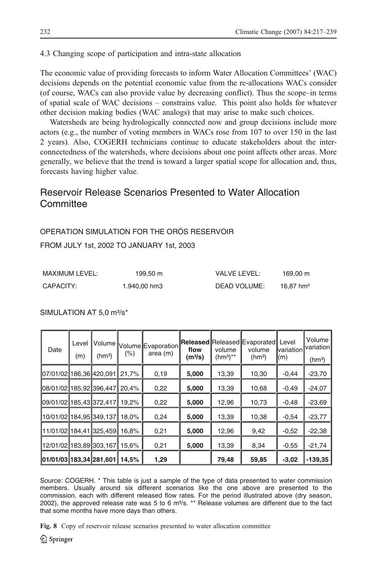#### <span id="page-15-0"></span>4.3 Changing scope of participation and intra-state allocation

The economic value of providing forecasts to inform Water Allocation Committees' (WAC) decisions depends on the potential economic value from the re-allocations WACs consider (of course, WACs can also provide value by decreasing conflict). Thus the scope–in terms of spatial scale of WAC decisions – constrains value. This point also holds for whatever other decision making bodies (WAC analogs) that may arise to make such choices.

Watersheds are being hydrologically connected now and group decisions include more actors (e.g., the number of voting members in WACs rose from 107 to over 150 in the last 2 years). Also, COGERH technicians continue to educate stakeholders about the interconnectedness of the watersheds, where decisions about one point affects other areas. More generally, we believe that the trend is toward a larger spatial scope for allocation and, thus, forecasts having higher value.

## Reservoir Release Scenarios Presented to Water Allocation **Committee**

## OPERATION SIMULATION FOR THE ORÓS RESERVOIR

FROM JULY 1st, 2002 TO JANUARY 1st, 2003

| <b>MAXIMUM LEVEL:</b> | 199.50 m     | VALVE LEVEL: | 169.00 m              |
|-----------------------|--------------|--------------|-----------------------|
| CAPACITY:             | 1.940.00 hm3 | DEAD VOLUME: | 16.87 hm <sup>3</sup> |

| Date                    | Level<br>(m) | Volume   <br>(hm <sup>3</sup> ) | Volume<br>(%) | Evaporation<br>area (m) | Released <br>flow<br>(m <sup>3</sup> /s) | volume<br>$(hm^3)$ ** | Released Evaporated<br>volume<br>(hm <sup>3</sup> ) | Level<br>variation<br>(m) | Volume<br>variation<br>(hm <sup>3</sup> ) |
|-------------------------|--------------|---------------------------------|---------------|-------------------------|------------------------------------------|-----------------------|-----------------------------------------------------|---------------------------|-------------------------------------------|
| 07/01/02 186,36 420,091 |              |                                 | 21,7%         | 0,19                    | 5,000                                    | 13,39                 | 10,30                                               | $-0,44$                   | $-23,70$                                  |
| 08/01/02 185,92 396,447 |              |                                 | 20,4%         | 0,22                    | 5,000                                    | 13,39                 | 10,68                                               | $-0,49$                   | $-24,07$                                  |
| 09/01/02 185,43 372,417 |              |                                 | 19,2%         | 0,22                    | 5,000                                    | 12,96                 | 10,73                                               | $-0,48$                   | $-23,69$                                  |
| 10/01/02 184,95 349,137 |              |                                 | 18,0%         | 0,24                    | 5,000                                    | 13,39                 | 10,38                                               | $-0,54$                   | $-23,77$                                  |
| 11/01/02 184,41 325,459 |              |                                 | 16,8%         | 0,21                    | 5,000                                    | 12,96                 | 9,42                                                | $-0,52$                   | $-22,38$                                  |
| 12/01/02 183,89 303,167 |              |                                 | 15,6%         | 0,21                    | 5,000                                    | 13,39                 | 8,34                                                | $-0.55$                   | $-21,74$                                  |
| 01/01/03 183,34 281,601 |              |                                 | 14,5%         | 1,29                    |                                          | 79,48                 | 59,85                                               | $-3,02$                   | $-139,35$                                 |
|                         |              |                                 |               |                         |                                          |                       |                                                     |                           |                                           |

#### SIMULATION AT 5,0 m<sup>3</sup>/s<sup>\*</sup>

Source: COGERH. \* This table is just a sample of the type of data presented to water commission members. Usually around six different scenarios like the one above are presented to the commission, each with different released flow rates. For the period illustrated above (dry season, 2002), the approved release rate was 5 to 6 m<sup>3</sup>/s. \*\* Release volumes are different due to the fact that some months have more days than others.

Fig. 8 Copy of reservoir release scenarios presented to water allocation committee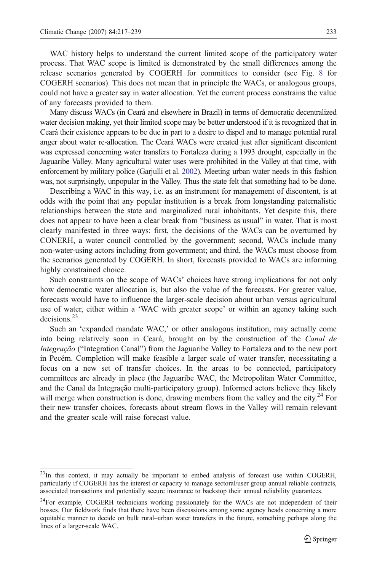WAC history helps to understand the current limited scope of the participatory water process. That WAC scope is limited is demonstrated by the small differences among the release scenarios generated by COGERH for committees to consider (see Fig. [8](#page-15-0) for COGERH scenarios). This does not mean that in principle the WACs, or analogous groups, could not have a greater say in water allocation. Yet the current process constrains the value of any forecasts provided to them.

Many discuss WACs (in Ceará and elsewhere in Brazil) in terms of democratic decentralized water decision making, yet their limited scope may be better understood if it is recognized that in Ceará their existence appears to be due in part to a desire to dispel and to manage potential rural anger about water re-allocation. The Ceará WACs were created just after significant discontent was expressed concerning water transfers to Fortaleza during a 1993 drought, especially in the Jaguaribe Valley. Many agricultural water uses were prohibited in the Valley at that time, with enforcement by military police (Garjulli et al. [2002](#page-20-0)). Meeting urban water needs in this fashion was, not surprisingly, unpopular in the Valley. Thus the state felt that something had to be done.

Describing a WAC in this way, i.e. as an instrument for management of discontent, is at odds with the point that any popular institution is a break from longstanding paternalistic relationships between the state and marginalized rural inhabitants. Yet despite this, there does not appear to have been a clear break from "business as usual" in water. That is most clearly manifested in three ways: first, the decisions of the WACs can be overturned by CONERH, a water council controlled by the government; second, WACs include many non-water-using actors including from government; and third, the WACs must choose from the scenarios generated by COGERH. In short, forecasts provided to WACs are informing highly constrained choice.

Such constraints on the scope of WACs' choices have strong implications for not only how democratic water allocation is, but also the value of the forecasts. For greater value, forecasts would have to influence the larger-scale decision about urban versus agricultural use of water, either within a 'WAC with greater scope' or within an agency taking such decisions<sup>23</sup>

Such an 'expanded mandate WAC,' or other analogous institution, may actually come into being relatively soon in Ceará, brought on by the construction of the Canal de Integração ("Integration Canal") from the Jaguaribe Valley to Fortaleza and to the new port in Pecém. Completion will make feasible a larger scale of water transfer, necessitating a focus on a new set of transfer choices. In the areas to be connected, participatory committees are already in place (the Jaguaribe WAC, the Metropolitan Water Committee, and the Canal da Integração multi-participatory group). Informed actors believe they likely will merge when construction is done, drawing members from the valley and the city.<sup>24</sup> For their new transfer choices, forecasts about stream flows in the Valley will remain relevant and the greater scale will raise forecast value.

<sup>&</sup>lt;sup>23</sup>In this context, it may actually be important to embed analysis of forecast use within COGERH, particularly if COGERH has the interest or capacity to manage sectoral/user group annual reliable contracts, associated transactions and potentially secure insurance to backstop their annual reliability guarantees.

<sup>&</sup>lt;sup>24</sup>For example, COGERH technicians working passionately for the WACs are not independent of their bosses. Our fieldwork finds that there have been discussions among some agency heads concerning a more equitable manner to decide on bulk rural–urban water transfers in the future, something perhaps along the lines of a larger-scale WAC.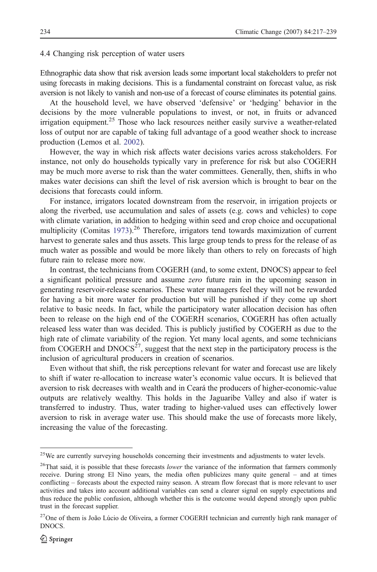#### 4.4 Changing risk perception of water users

Ethnographic data show that risk aversion leads some important local stakeholders to prefer not using forecasts in making decisions. This is a fundamental constraint on forecast value, as risk aversion is not likely to vanish and non-use of a forecast of course eliminates its potential gains.

At the household level, we have observed 'defensive' or 'hedging' behavior in the decisions by the more vulnerable populations to invest, or not, in fruits or advanced irrigation equipment.<sup>25</sup> Those who lack resources neither easily survive a weather-related loss of output nor are capable of taking full advantage of a good weather shock to increase production (Lemos et al. [2002](#page-21-0)).

However, the way in which risk affects water decisions varies across stakeholders. For instance, not only do households typically vary in preference for risk but also COGERH may be much more averse to risk than the water committees. Generally, then, shifts in who makes water decisions can shift the level of risk aversion which is brought to bear on the decisions that forecasts could inform.

For instance, irrigators located downstream from the reservoir, in irrigation projects or along the riverbed, use accumulation and sales of assets (e.g. cows and vehicles) to cope with climate variation, in addition to hedging within seed and crop choice and occupational multiplicity (Comitas [1973\)](#page-20-0).<sup>26</sup> Therefore, irrigators tend towards maximization of current harvest to generate sales and thus assets. This large group tends to press for the release of as much water as possible and would be more likely than others to rely on forecasts of high future rain to release more now.

In contrast, the technicians from COGERH (and, to some extent, DNOCS) appear to feel a significant political pressure and assume zero future rain in the upcoming season in generating reservoir-release scenarios. These water managers feel they will not be rewarded for having a bit more water for production but will be punished if they come up short relative to basic needs. In fact, while the participatory water allocation decision has often been to release on the high end of the COGERH scenarios, COGERH has often actually released less water than was decided. This is publicly justified by COGERH as due to the high rate of climate variability of the region. Yet many local agents, and some technicians from COGERH and  $DNOCS^{27}$ , suggest that the next step in the participatory process is the inclusion of agricultural producers in creation of scenarios.

Even without that shift, the risk perceptions relevant for water and forecast use are likely to shift if water re-allocation to increase water's economic value occurs. It is believed that aversion to risk decreases with wealth and in Ceará the producers of higher-economic-value outputs are relatively wealthy. This holds in the Jaguaribe Valley and also if water is transferred to industry. Thus, water trading to higher-valued uses can effectively lower aversion to risk in average water use. This should make the use of forecasts more likely, increasing the value of the forecasting.

<sup>&</sup>lt;sup>25</sup>We are currently surveying households concerning their investments and adjustments to water levels.

 $26$ That said, it is possible that these forecasts *lower* the variance of the information that farmers commonly receive. During strong El Nino years, the media often publicizes many quite general – and at times conflicting – forecasts about the expected rainy season. A stream flow forecast that is more relevant to user activities and takes into account additional variables can send a clearer signal on supply expectations and thus reduce the public confusion, although whether this is the outcome would depend strongly upon public trust in the forecast supplier.

<sup>&</sup>lt;sup>27</sup>One of them is João Lúcio de Oliveira, a former COGERH technician and currently high rank manager of DNOCS.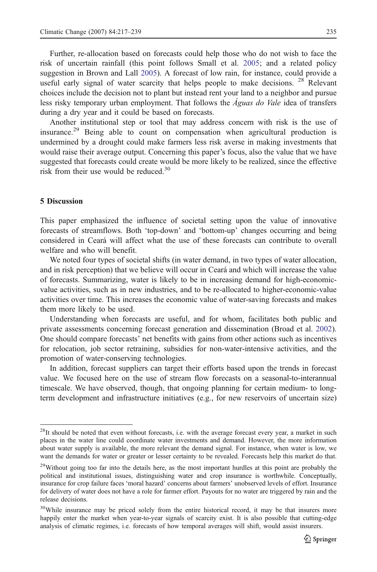<span id="page-18-0"></span>Further, re-allocation based on forecasts could help those who do not wish to face the risk of uncertain rainfall (this point follows Small et al. [2005;](#page-22-0) and a related policy suggestion in Brown and Lall [2005](#page-19-0)). A forecast of low rain, for instance, could provide a useful early signal of water scarcity that helps people to make decisions.  $28$  Relevant choices include the decision not to plant but instead rent your land to a neighbor and pursue less risky temporary urban employment. That follows the *Águas do Vale* idea of transfers during a dry year and it could be based on forecasts.

Another institutional step or tool that may address concern with risk is the use of insurance.<sup>29</sup> Being able to count on compensation when agricultural production is undermined by a drought could make farmers less risk averse in making investments that would raise their average output. Concerning this paper's focus, also the value that we have suggested that forecasts could create would be more likely to be realized, since the effective risk from their use would be reduced.<sup>30</sup>

## 5 Discussion

This paper emphasized the influence of societal setting upon the value of innovative forecasts of streamflows. Both 'top-down' and 'bottom-up' changes occurring and being considered in Ceará will affect what the use of these forecasts can contribute to overall welfare and who will benefit.

We noted four types of societal shifts (in water demand, in two types of water allocation, and in risk perception) that we believe will occur in Ceará and which will increase the value of forecasts. Summarizing, water is likely to be in increasing demand for high-economicvalue activities, such as in new industries, and to be re-allocated to higher-economic-value activities over time. This increases the economic value of water-saving forecasts and makes them more likely to be used.

Understanding when forecasts are useful, and for whom, facilitates both public and private assessments concerning forecast generation and dissemination (Broad et al. [2002](#page-19-0)). One should compare forecasts' net benefits with gains from other actions such as incentives for relocation, job sector retraining, subsidies for non-water-intensive activities, and the promotion of water-conserving technologies.

In addition, forecast suppliers can target their efforts based upon the trends in forecast value. We focused here on the use of stream flow forecasts on a seasonal-to-interannual timescale. We have observed, though, that ongoing planning for certain medium- to longterm development and infrastructure initiatives (e.g., for new reservoirs of uncertain size)

<sup>&</sup>lt;sup>28</sup>It should be noted that even without forecasts, i.e. with the average forecast every year, a market in such places in the water line could coordinate water investments and demand. However, the more information about water supply is available, the more relevant the demand signal. For instance, when water is low, we want the demands for water or greater or lesser certainty to be revealed. Forecasts help this market do that.

<sup>&</sup>lt;sup>29</sup>Without going too far into the details here, as the most important hurdles at this point are probably the political and institutional issues, distinguishing water and crop insurance is worthwhile. Conceptually, insurance for crop failure faces 'moral hazard' concerns about farmers' unobserved levels of effort. Insurance for delivery of water does not have a role for farmer effort. Payouts for no water are triggered by rain and the release decisions.

<sup>&</sup>lt;sup>30</sup>While insurance may be priced solely from the entire historical record, it may be that insurers more happily enter the market when year-to-year signals of scarcity exist. It is also possible that cutting-edge analysis of climatic regimes, i.e. forecasts of how temporal averages will shift, would assist insurers.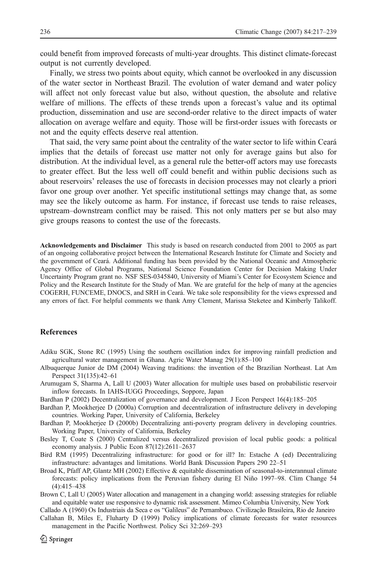<span id="page-19-0"></span>could benefit from improved forecasts of multi-year droughts. This distinct climate-forecast output is not currently developed.

Finally, we stress two points about equity, which cannot be overlooked in any discussion of the water sector in Northeast Brazil. The evolution of water demand and water policy will affect not only forecast value but also, without question, the absolute and relative welfare of millions. The effects of these trends upon a forecast's value and its optimal production, dissemination and use are second-order relative to the direct impacts of water allocation on average welfare and equity. Those will be first-order issues with forecasts or not and the equity effects deserve real attention.

That said, the very same point about the centrality of the water sector to life within Ceará implies that the details of forecast use matter not only for average gains but also for distribution. At the individual level, as a general rule the better-off actors may use forecasts to greater effect. But the less well off could benefit and within public decisions such as about reservoirs' releases the use of forecasts in decision processes may not clearly a priori favor one group over another. Yet specific institutional settings may change that, as some may see the likely outcome as harm. For instance, if forecast use tends to raise releases, upstream–downstream conflict may be raised. This not only matters per se but also may give groups reasons to contest the use of the forecasts.

Acknowledgements and Disclaimer This study is based on research conducted from 2001 to 2005 as part of an ongoing collaborative project between the International Research Institute for Climate and Society and the government of Ceará. Additional funding has been provided by the National Oceanic and Atmospheric Agency Office of Global Programs, National Science Foundation Center for Decision Making Under Uncertainty Program grant no. NSF SES-0345840, University of Miami's Center for Ecosystem Science and Policy and the Research Institute for the Study of Man. We are grateful for the help of many at the agencies COGERH, FUNCEME, DNOCS, and SRH in Ceará. We take sole responsibility for the views expressed and any errors of fact. For helpful comments we thank Amy Clement, Marissa Steketee and Kimberly Talikoff.

#### References

- Adiku SGK, Stone RC (1995) Using the southern oscillation index for improving rainfall prediction and agricultural water management in Ghana. Agric Water Manag 29(1):85–100
- Albuquerque Junior de DM (2004) Weaving traditions: the invention of the Brazilian Northeast. Lat Am Perspect 31(135):42–61
- Arumugam S, Sharma A, Lall U (2003) Water allocation for multiple uses based on probabilistic reservoir inflow forecasts. In IAHS-IUGG Proceedings, Soppore, Japan
- Bardhan P (2002) Decentralization of governance and development. J Econ Perspect 16(4):185–205
- Bardhan P, Mookherjee D (2000a) Corruption and decentralization of infrastructure delivery in developing countries. Working Paper, University of California, Berkeley
- Bardhan P, Mookherjee D (2000b) Decentralizing anti-poverty program delivery in developing countries. Working Paper, University of California, Berkeley
- Besley T, Coate S (2000) Centralized versus decentralized provision of local public goods: a political economy analysis. J Public Econ 87(12):2611–2637
- Bird RM (1995) Decentralizing infrastructure: for good or for ill? In: Estache A (ed) Decentralizing infrastructure: advantages and limitations. World Bank Discussion Papers 290 22–51
- Broad K, Pfaff AP, Glantz MH (2002) Effective & equitable dissemination of seasonal-to-interannual climate forecasts: policy implications from the Peruvian fishery during El Niño 1997–98. Clim Change 54 (4):415–438
- Brown C, Lall U (2005) Water allocation and management in a changing world: assessing strategies for reliable and equitable water use responsive to dynamic risk assessment. Mimeo Columbia University, New York
- Callado A (1960) Os Industriais da Seca e os "Galileus" de Pernambuco. Civilização Brasileira, Rio de Janeiro Callahan B, Miles E, Fluharty D (1999) Policy implications of climate forecasts for water resources management in the Pacific Northwest. Policy Sci 32:269–293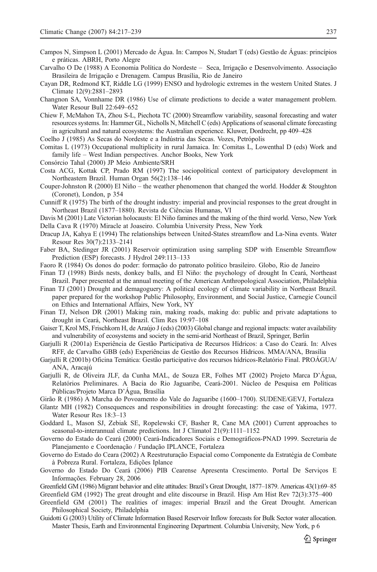- <span id="page-20-0"></span>Campos N, Simpson L (2001) Mercado de Água. In: Campos N, Studart T (eds) Gestão de Águas: princípios e práticas. ABRH, Porto Alegre
- Carvalho O De (1988) A Economia Política do Nordeste Seca, Irrigação e Desenvolvimento. Associação Brasileira de Irrigação e Drenagem. Campus Brasília, Rio de Janeiro
- Cayan DR, Redmond KT, Riddle LG (1999) ENSO and hydrologic extremes in the western United States. J Climate 12(9):2881–2893
- Changnon SA, Vonnhame DR (1986) Use of climate predictions to decide a water management problem. Water Resour Bull 22:649–652
- Chiew F, McMahon TA, Zhou S-L, Piechota TC (2000) Streamflow variability, seasonal forecasting and water resources systems. In: Hammer GL, Nicholls N, Mitchell C (eds) Applications of seasonal climate forecasting in agricultural and natural ecosystems: the Australian experience. Kluwer, Dordrecht, pp 409–428
- Coelho J (1985) As Secas do Nordeste e a Indústria das Secas. Vozes, Petrópolis
- Comitas L (1973) Occupational multiplicity in rural Jamaica. In: Comitas L, Lowenthal D (eds) Work and family life – West Indian perspectives. Anchor Books, New York
- Consórcio Tahal (2000) JP Meio Ambiente/SRH
- Costa ACG, Kottak CP, Prado RM (1997) The sociopolitical context of participatory development in Northeastern Brazil. Human Organ 56(2):138–146
- Couper-Johnston R (2000) El Niño the weather phenomenon that changed the world. Hodder & Stoughton (Coronet), London, p 354
- Cunniff R (1975) The birth of the drought industry: imperial and provincial responses to the great drought in Northeast Brazil (1877–1880). Revista de Ciências Humanas, VI
- Davis M (2001) Late Victorian holocausts: El Niño famines and the making of the third world. Verso, New York
- Della Cava R (1970) Miracle at Joaseiro. Columbia University Press, New York Dracup JA, Kahya E (1994) The relationships between United-States streamflow and La-Nina events. Water Resour Res 30(7):2133–2141
- Faber BA, Stedinger JR (2001) Reservoir optimization using sampling SDP with Ensemble Streamflow Prediction (ESP) forecasts. J Hydrol 249:113–133
- Faoro R (1984) Os donos do poder: formação do patronato politico brasileiro. Globo, Rio de Janeiro
- Finan TJ (1998) Birds nests, donkey balls, and El Niño: the psychology of drought In Ceará, Northeast Brazil. Paper presented at the annual meeting of the American Anthropological Association, Philadelphia
- Finan TJ (2001) Drought and demagoguery: A political ecology of climate variability in Northeast Brazil. paper prepared for the workshop Public Philosophy, Environment, and Social Justice, Carnegie Council on Ethics and International Affairs, New York, NY
- Finan TJ, Nelson DR (2001) Making rain, making roads, making do: public and private adaptations to drought in Ceará, Northeast Brazil. Clim Res 19:97–108
- Gaiser T, Krol MS, Frischkorn H, de Araújo J (eds) (2003) Global change and regional impacts: water availability and vulnerability of ecosystems and society in the semi-arid Northeast of Brazil, Springer, Berlin
- Garjulli R (2001a) Experiência de Gestão Participativa de Recursos Hídricos: a Caso do Ceará. In: Alves RFF, de Carvalho GBB (eds) Experiências de Gestão dos Recursos Hídricos. MMA/ANA, Brasília
- Garjulli R (2001b) Oficina Temática: Gestão participative dos recursos hídricos-Relatório Final. PROÁGUA/ ANA, Aracajú
- Garjulli R, de Oliveira JLF, da Cunha MAL, de Souza ER, Folhes MT (2002) Projeto Marca D'Água, Relatórios Preliminares. A Bacia do Rio Jaguaribe, Ceará-2001. Núcleo de Pesquisa em Políticas Públicas/Projeto Marca D'Água, Brasília
- Girão R (1986) A Marcha do Povoamento do Vale do Jaguaribe (1600–1700). SUDENE/GEVJ, Fortaleza
- Glantz MH (1982) Consequences and responsibilities in drought forecasting: the case of Yakima, 1977. Water Resour Res 18:3–13
- Goddard L, Mason SJ, Zebiak SE, Ropelewski CF, Basher R, Cane MA (2001) Current approaches to seasonal-to-interannual climate predictions. Int J Climatol 21(9):1111–1152
- Governo do Estado do Ceará (2000) Ceará-Indicadores Sociais e Demográficos-PNAD 1999. Secretaria de Planejamento e Coordenação / Fundação IPLANCE, Fortaleza
- Governo do Estado do Ceara (2002) A Reestruturação Espacial como Componente da Estratégia de Combate à Pobreza Rural. Fortaleza, Edições Iplance
- Governo do Estado Do Ceará (2006) PIB Cearense Apresenta Crescimento. Portal De Serviços E Informações. February 28, 2006
- Greenfield GM (1986) Migrant behavior and elite attitudes: Brazil's Great Drought, 1877–1879. Americas 43(1):69–85 Greenfield GM (1992) The great drought and elite discourse in Brazil. Hisp Am Hist Rev 72(3):375–400
- Greenfield GM (2001) The realities of images: imperial Brazil and the Great Drought. American Philosophical Society, Philadelphia
- Guidotti G (2003) Utility of Climate Information Based Reservoir Inflow forecasts for Bulk Sector water allocation. Master Thesis, Earth and Environmental Engineering Department. Columbia University, New York, p 6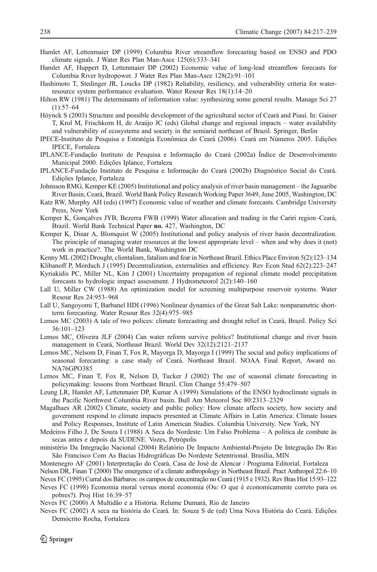- <span id="page-21-0"></span>Hamlet AF, Lettenmaier DP (1999) Columbia River streamflow forecasting based on ENSO and PDO climate signals. J Water Res Plan Man-Asce 125(6):333–341
- Hamlet AF, Huppert D, Lettenmaier DP (2002) Economic value of long-lead streamflow forecasts for Columbia River hydropower. J Water Res Plan Man-Asce 128(2):91–101
- Hashimoto T, Stedinger JR, Loucks DP (1982) Reliability, resiliency, and vulnerability criteria for waterresource system performance evaluation. Water Resour Res 18(1):14–20
- Hilton RW (1981) The determinants of information value: synthesizing some general results. Manage Sci 27  $(1):57–64$
- Höynck S (2003) Structure and possible development of the agricultural sector of Ceará and Piauí. In: Gaiser T, Krol M, Frischkorn H, de Araújo JC (eds) Global change and regional impacts – water availability and vulnerability of ecosystems and society in the semiarid northeast of Brazil. Springer, Berlin
- IPECE-Instituto de Pesquisa e Estratégia Econômica do Ceará (2006). Ceará em Números 2005. Edições IPECE, Fortaleza
- IPLANCE-Fundação Instituto de Pesquisa e Informação do Ceará (2002a) Índice de Desenvolvimento Municipal 2000. Edições Iplance, Fortaleza
- IPLANCE-Fundação Instituto de Pesquisa e Informação do Ceará (2002b) Diagnóstico Social do Ceará. Edições Iplance, Fortaleza
- Johnsson RMG, Kemper KE (2005) Institutional and policy analysis of river basin management the Jaguaribe River Basin, Ceará, Brazil. World Bank Policy Research Working Paper 3649, June 2005, Washington, DC
- Katz RW, Murphy AH (eds) (1997) Economic value of weather and climate forecasts. Cambridge University Press, New York
- Kemper K, Gonçalves JYB, Bezerra FWB (1999) Water allocation and trading in the Cariri region–Ceará, Brazil. World Bank Technical Paper no. 427, Washington, DC
- Kemper K, Dinar A, Blomquist W (2005) Institutional and policy analysis of river basin decentralization. The principle of managing water resources at the lowest appropriate level – when and why does it (not) work in practice?. The World Bank, Washington DC
- Kenny ML (2002) Drought, clientalism, fatalism and fear in Northeast Brazil. Ethics Place Environ 5(2):123–134
- Klibanoff P, Morduch J (1995) Decentralization, externalities and efficiency. Rev Econ Stud 62(2):223–247
- Kyriakidis PC, Miller NL, Kim J (2001) Uncertainty propagation of regional climate model precipitation forecasts to hydrologic impact assessment. J Hydrometeorol 2(2):140–160
- Lall U, Miller CW (1988) An optimization model for screening multipurpose reservoir systems. Water Resour Res 24:953–968
- Lall U, Sangoyomi T, Barbanel HDI (1996) Nonlinear dynamics of the Great Salt Lake: nonparametric shortterm forecasting. Water Resour Res 32(4):975–985
- Lemos MC (2003) A tale of two polices: climate forecasting and drought relief in Ceará, Brazil. Policy Sci 36:101–123
- Lemos MC, Oliveira JLF (2004) Can water reform survive politics? Institutional change and river basin management in Ceará, Northeast Brazil. World Dev 32(12):2121–2137
- Lemos MC, Nelsom D, Finan T, Fox R, Mayorga D, Mayorga I (1999) The social and policy implications of seasonal forecasting: a case study of Ceará. Northeast Brazil. NOAA Final Report, Award no. NA76GPO385
- Lemos MC, Finan T, Fox R, Nelson D, Tucker J (2002) The use of seasonal climate forecasting in policymaking: lessons from Northeast Brazil. Clim Change 55:479–507
- Leung LR, Hamlet AF, Lettenmaier DP, Kumar A (1999) Simulations of the ENSO hydroclimate signals in the Pacific Northwest Columbia River basin. Bull Am Meteorol Soc 80:2313–2329
- Magalhaes AR (2002) Climate, society and public policy: How climate affects society, how society and government respond to climate impacts presented at Climate Affairs in Latin America: Climate Issues and Policy Responses, Institute of Latin American Studies. Columbia University. New York, NY
- Medeiros Filho J, De Souza I (1988) A Seca do Nordeste: Um Falso Problema A política de combate às secas antes e depois da SUDENE. Vozes, Petrópolis
- ministério Da Integração Nacional (2004) Relatório De Impacto Ambiental-Projeto De Integração Do Rio São Francisco Com As Bacias Hidrográficas Do Nordeste Setentrional. Brasília, MIN
- Montenegro AF (2001) Interpretação do Ceará, Casa de José de Alencar / Programa Editorial, Fortaleza
- Nelson DR, Finan T (2000) The emergence of a climate anthropology in Northeast Brazil. Pract Anthropol 22:6–10
- Neves FC (1995) Curral dos Bárbaros: os campos de concentração no Ceará (1915 e 1932). Rev Bras Hist 15:93–122
- Neves FC (1998) Economia moral versus moral economia (Ou: O que é economicamente correto para os pobres?). Proj Hist 16:39–57
- Neves FC (2000) A Multidão e a História. Relume Dumará, Rio de Janeiro
- Neves FC (2002) A seca na história do Ceará. In: Souza S de (ed) Uma Nova História do Ceará. Edições Demócrito Rocha, Fortaleza